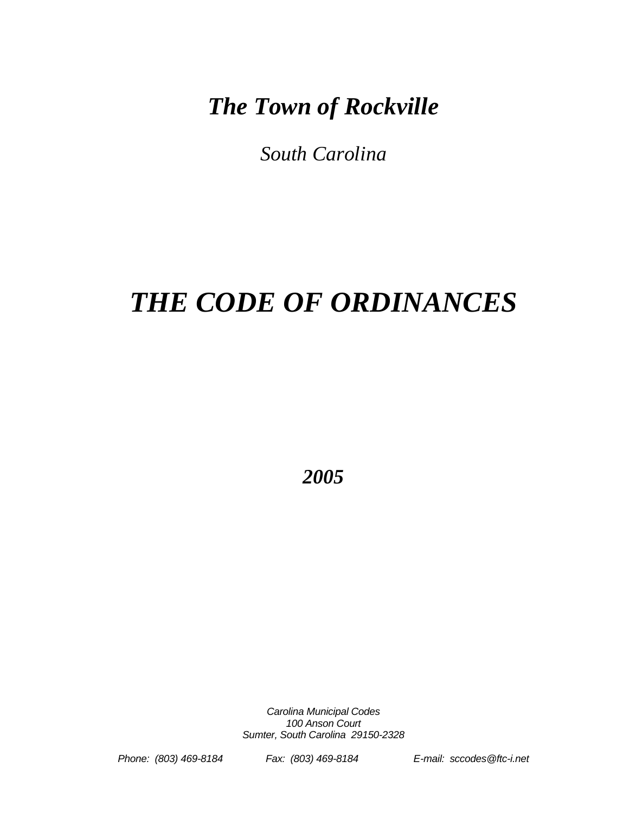## *The Town of Rockville*

*South Carolina* 

# *THE CODE OF ORDINANCES*

*2005* 

*Carolina Municipal Codes 100 Anson Court Sumter, South Carolina 29150-2328* 

*Phone: (803) 469-8184 Fax: (803) 469-8184 E-mail: sccodes@ftc-i.net*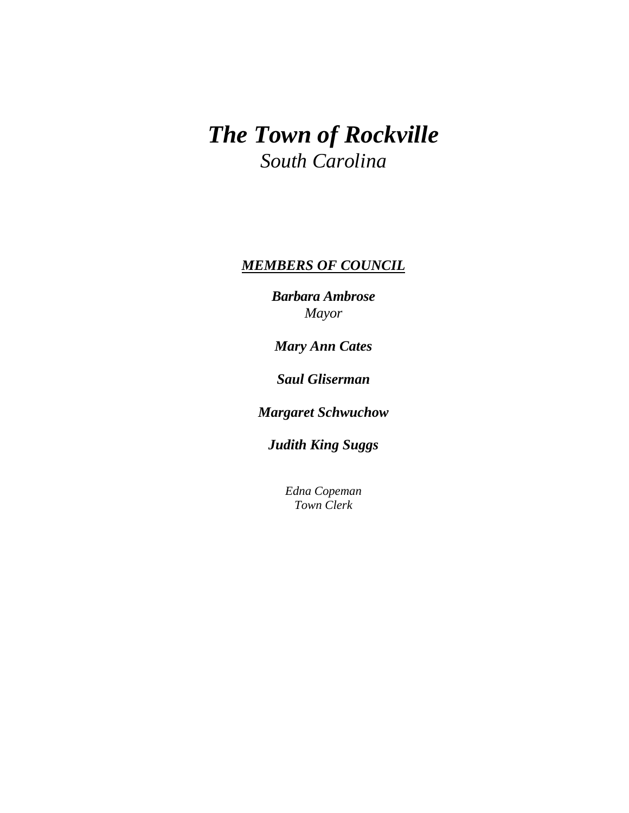## *The Town of Rockville South Carolina*

#### *MEMBERS OF COUNCIL*

*Barbara Ambrose Mayor* 

*Mary Ann Cates* 

*Saul Gliserman* 

*Margaret Schwuchow* 

*Judith King Suggs* 

*Edna Copeman Town Clerk*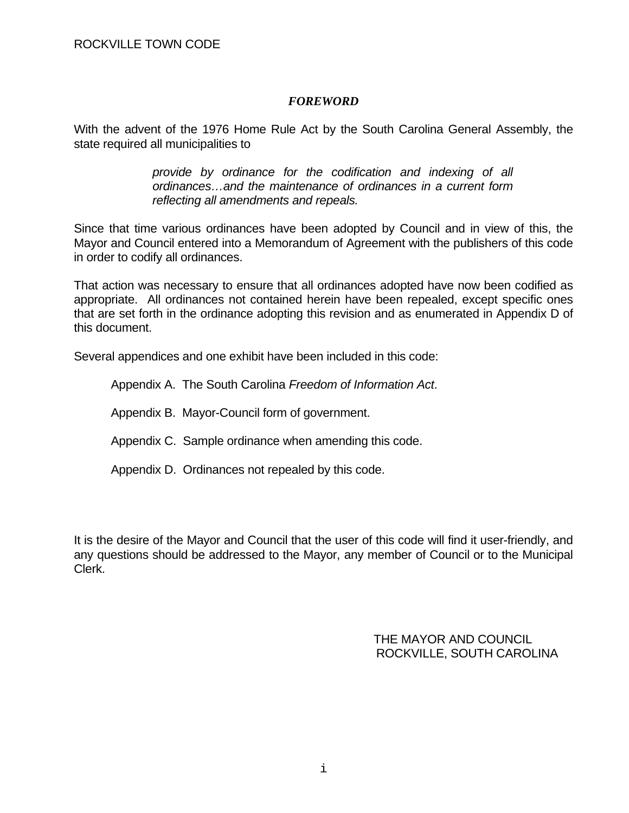#### *FOREWORD*

With the advent of the 1976 Home Rule Act by the South Carolina General Assembly, the state required all municipalities to

> *provide by ordinance for the codification and indexing of all ordinances…and the maintenance of ordinances in a current form reflecting all amendments and repeals.*

Since that time various ordinances have been adopted by Council and in view of this, the Mayor and Council entered into a Memorandum of Agreement with the publishers of this code in order to codify all ordinances.

That action was necessary to ensure that all ordinances adopted have now been codified as appropriate. All ordinances not contained herein have been repealed, except specific ones that are set forth in the ordinance adopting this revision and as enumerated in Appendix D of this document.

Several appendices and one exhibit have been included in this code:

Appendix A. The South Carolina *Freedom of Information Act*.

Appendix B. Mayor-Council form of government.

Appendix C. Sample ordinance when amending this code.

Appendix D. Ordinances not repealed by this code.

It is the desire of the Mayor and Council that the user of this code will find it user-friendly, and any questions should be addressed to the Mayor, any member of Council or to the Municipal Clerk.

> THE MAYOR AND COUNCIL ROCKVILLE, SOUTH CAROLINA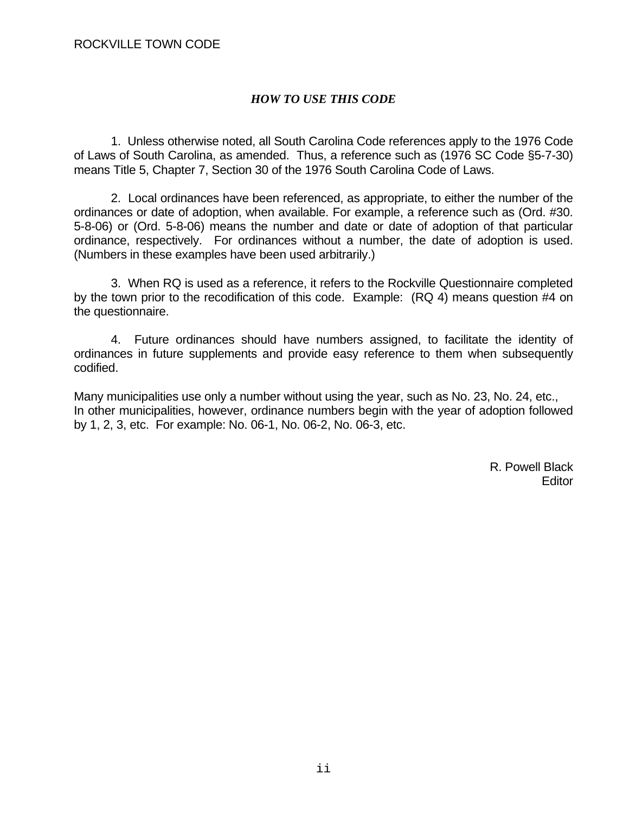#### *HOW TO USE THIS CODE*

 1. Unless otherwise noted, all South Carolina Code references apply to the 1976 Code of Laws of South Carolina, as amended. Thus, a reference such as (1976 SC Code §5-7-30) means Title 5, Chapter 7, Section 30 of the 1976 South Carolina Code of Laws.

 2. Local ordinances have been referenced, as appropriate, to either the number of the ordinances or date of adoption, when available. For example, a reference such as (Ord. #30. 5-8-06) or (Ord. 5-8-06) means the number and date or date of adoption of that particular ordinance, respectively. For ordinances without a number, the date of adoption is used. (Numbers in these examples have been used arbitrarily.)

 3. When RQ is used as a reference, it refers to the Rockville Questionnaire completed by the town prior to the recodification of this code. Example: (RQ 4) means question #4 on the questionnaire.

 4. Future ordinances should have numbers assigned, to facilitate the identity of ordinances in future supplements and provide easy reference to them when subsequently codified.

Many municipalities use only a number without using the year, such as No. 23, No. 24, etc., In other municipalities, however, ordinance numbers begin with the year of adoption followed by 1, 2, 3, etc. For example: No. 06-1, No. 06-2, No. 06-3, etc.

> R. Powell Black en de la construction de la construction de la construction de la construction de la construction de la constr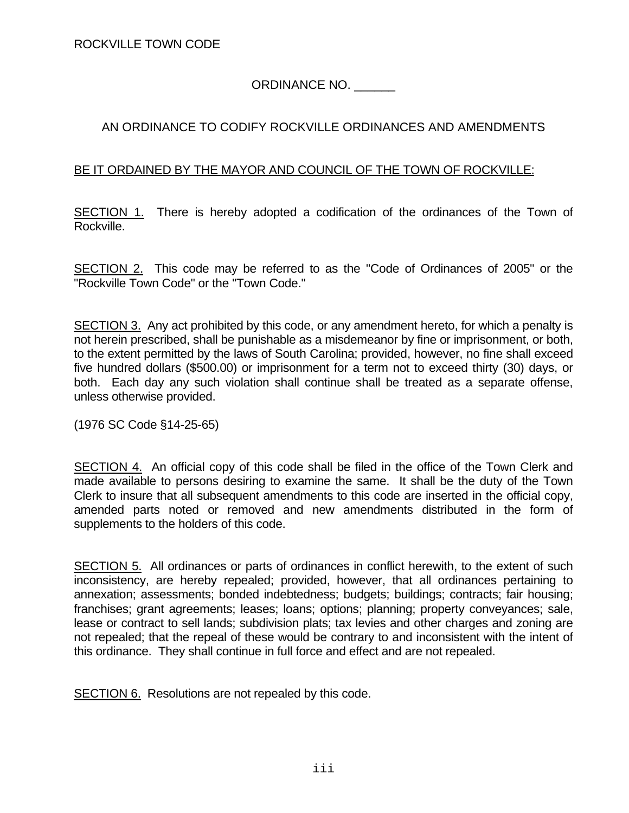ORDINANCE NO. \_\_\_\_\_\_

#### AN ORDINANCE TO CODIFY ROCKVILLE ORDINANCES AND AMENDMENTS

#### BE IT ORDAINED BY THE MAYOR AND COUNCIL OF THE TOWN OF ROCKVILLE:

SECTION 1. There is hereby adopted a codification of the ordinances of the Town of Rockville.

SECTION 2. This code may be referred to as the "Code of Ordinances of 2005" or the "Rockville Town Code" or the "Town Code."

SECTION 3. Any act prohibited by this code, or any amendment hereto, for which a penalty is not herein prescribed, shall be punishable as a misdemeanor by fine or imprisonment, or both, to the extent permitted by the laws of South Carolina; provided, however, no fine shall exceed five hundred dollars (\$500.00) or imprisonment for a term not to exceed thirty (30) days, or both. Each day any such violation shall continue shall be treated as a separate offense, unless otherwise provided.

(1976 SC Code §14-25-65)

SECTION 4. An official copy of this code shall be filed in the office of the Town Clerk and made available to persons desiring to examine the same. It shall be the duty of the Town Clerk to insure that all subsequent amendments to this code are inserted in the official copy, amended parts noted or removed and new amendments distributed in the form of supplements to the holders of this code.

SECTION 5. All ordinances or parts of ordinances in conflict herewith, to the extent of such inconsistency, are hereby repealed; provided, however, that all ordinances pertaining to annexation; assessments; bonded indebtedness; budgets; buildings; contracts; fair housing; franchises; grant agreements; leases; loans; options; planning; property conveyances; sale, lease or contract to sell lands; subdivision plats; tax levies and other charges and zoning are not repealed; that the repeal of these would be contrary to and inconsistent with the intent of this ordinance. They shall continue in full force and effect and are not repealed.

SECTION 6. Resolutions are not repealed by this code.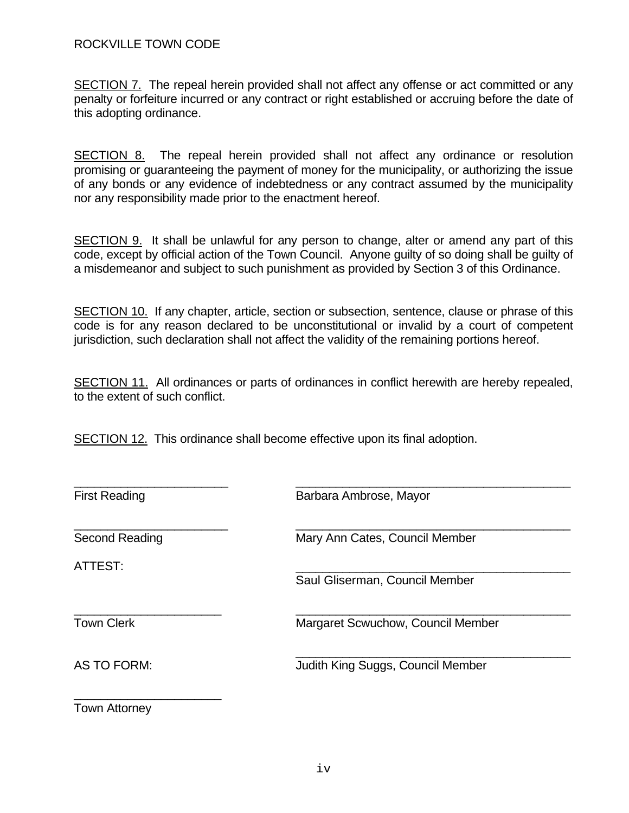SECTION 7. The repeal herein provided shall not affect any offense or act committed or any penalty or forfeiture incurred or any contract or right established or accruing before the date of this adopting ordinance.

SECTION 8. The repeal herein provided shall not affect any ordinance or resolution promising or guaranteeing the payment of money for the municipality, or authorizing the issue of any bonds or any evidence of indebtedness or any contract assumed by the municipality nor any responsibility made prior to the enactment hereof.

SECTION 9. It shall be unlawful for any person to change, alter or amend any part of this code, except by official action of the Town Council. Anyone guilty of so doing shall be guilty of a misdemeanor and subject to such punishment as provided by Section 3 of this Ordinance.

SECTION 10. If any chapter, article, section or subsection, sentence, clause or phrase of this code is for any reason declared to be unconstitutional or invalid by a court of competent jurisdiction, such declaration shall not affect the validity of the remaining portions hereof.

SECTION 11. All ordinances or parts of ordinances in conflict herewith are hereby repealed, to the extent of such conflict.

SECTION 12. This ordinance shall become effective upon its final adoption.

| <b>First Reading</b> | Barbara Ambrose, Mayor            |
|----------------------|-----------------------------------|
| Second Reading       | Mary Ann Cates, Council Member    |
| ATTEST:              | Saul Gliserman, Council Member    |
| <b>Town Clerk</b>    | Margaret Scwuchow, Council Member |
| <b>AS TO FORM:</b>   | Judith King Suggs, Council Member |

Town Attorney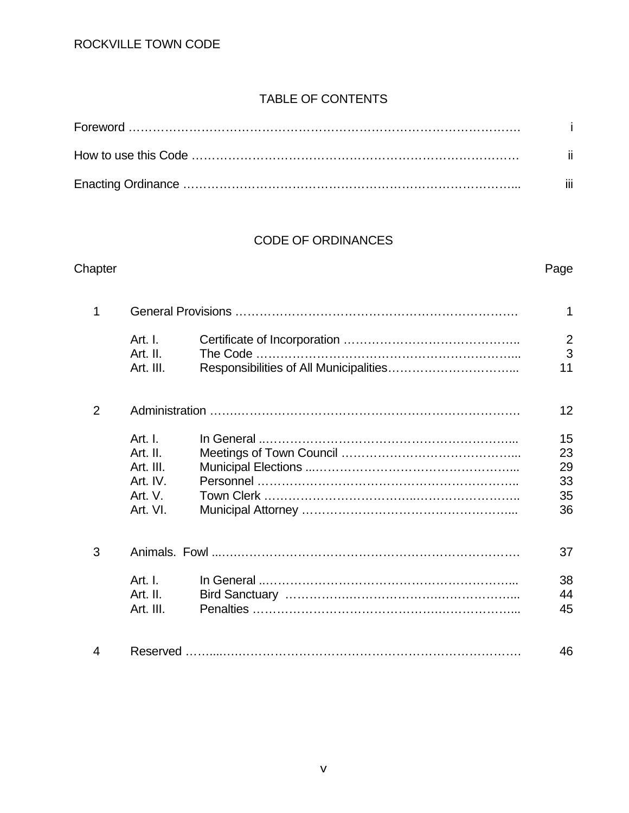#### TABLE OF CONTENTS

| -ii. |
|------|
| iii  |

#### CODE OF ORDINANCES

## Chapter **Page** 1 General Provisions ……………………………………………………………. 1 Art. I. Certificate of Incorporation …………………………………….. 2 Art. II. The Code ………………………………………………………... 3 Art. III. Responsibilities of All Municipalities……………………………………………………………………………………… 2 Administration …….……………………………………………………………. 12 Art. I. In General ..……………………………………………………... 15 Art. II. Meetings of Town Council ……………………………………... 23 Art. III. Municipal Elections ...…………………………………………... 29 Art. IV. Personnel ……………………………………………………….. 33 Art. V. Town Clerk ………………………………..…………………….. 35 Art. VI. Municipal Attorney ……………………………………………... 36 3 Animals. Fowl ...….……………………………………………………………. 37 Art. I. In General ..……………………………………………………... 38 Art. II. Bird Sanctuary …………….………………….………………... 44 Art. III. Penalties ……………………………………….………………... 45 4 Reserved ……....….……………………………………………………………. 46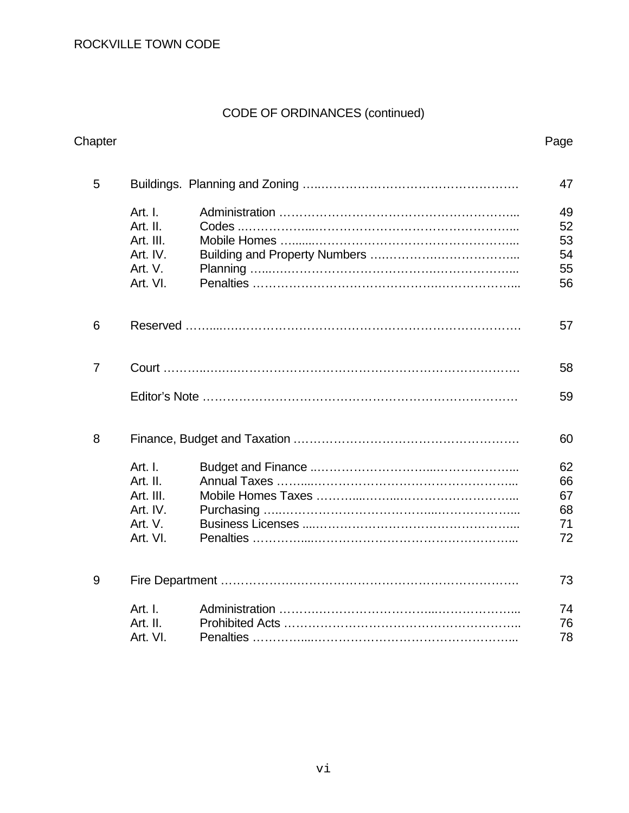## CODE OF ORDINANCES (continued)

|                                                                     | Page                             |
|---------------------------------------------------------------------|----------------------------------|
| 5                                                                   | 47                               |
| Art. I.<br>Art. II.<br>Art. III.<br>Art. IV.<br>Art. V.<br>Art. VI. | 49<br>52<br>53<br>54<br>55<br>56 |
| 6                                                                   | 57                               |
| $\overline{7}$                                                      | 58                               |
|                                                                     | 59                               |
| 8                                                                   | 60                               |
| Art. I.<br>Art. II.<br>Art. III.<br>Art. IV.<br>Art. V.<br>Art. VI. | 62<br>66<br>67<br>68<br>71<br>72 |
| 9                                                                   | 73                               |
| Art. I.<br>Art. II.<br>Art. VI.                                     | 74<br>76<br>78                   |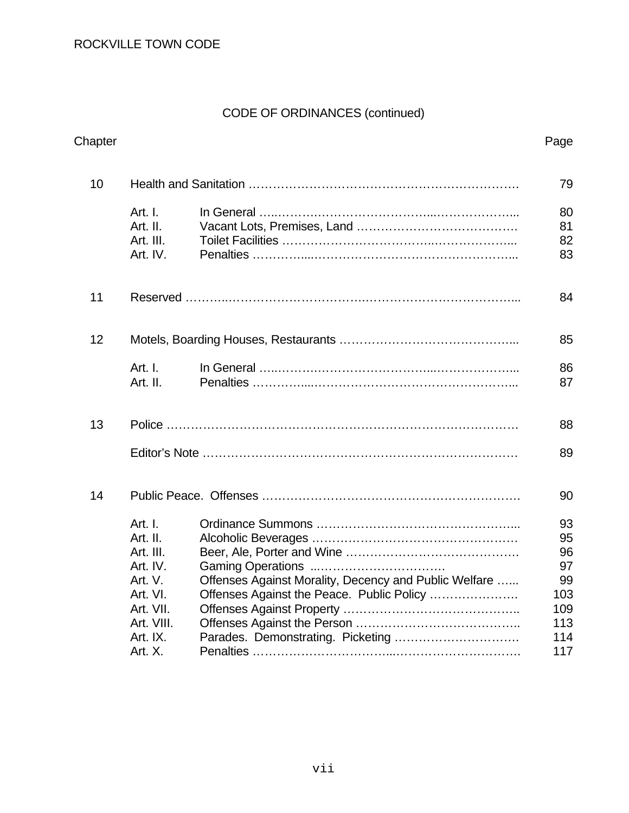## CODE OF ORDINANCES (continued)

| Chapter |                                                                                                                       |                                                                                                                                          | Page                                                          |
|---------|-----------------------------------------------------------------------------------------------------------------------|------------------------------------------------------------------------------------------------------------------------------------------|---------------------------------------------------------------|
| 10      |                                                                                                                       |                                                                                                                                          | 79                                                            |
|         | Art. I.<br>Art. II.<br>Art. III.<br>Art. IV.                                                                          |                                                                                                                                          | 80<br>81<br>82<br>83                                          |
| 11      |                                                                                                                       |                                                                                                                                          | 84                                                            |
| 12      |                                                                                                                       |                                                                                                                                          | 85                                                            |
|         | Art. I.<br>Art. II.                                                                                                   | In General $\ldots$ $\ldots$ $\ldots$ $\ldots$ $\ldots$ $\ldots$ $\ldots$ $\ldots$ $\ldots$ $\ldots$ $\ldots$ $\ldots$ $\ldots$ $\ldots$ | 86<br>87                                                      |
| 13      |                                                                                                                       |                                                                                                                                          | 88                                                            |
|         |                                                                                                                       |                                                                                                                                          | 89                                                            |
| 14      |                                                                                                                       |                                                                                                                                          | 90                                                            |
|         | Art. I.<br>Art. II.<br>Art. III.<br>Art. IV.<br>Art. V.<br>Art. VI.<br>Art. VII.<br>Art. VIII.<br>Art. IX.<br>Art. X. | Offenses Against Morality, Decency and Public Welfare<br>Offenses Against the Peace. Public Policy                                       | 93<br>95<br>96<br>97<br>99<br>103<br>109<br>113<br>114<br>117 |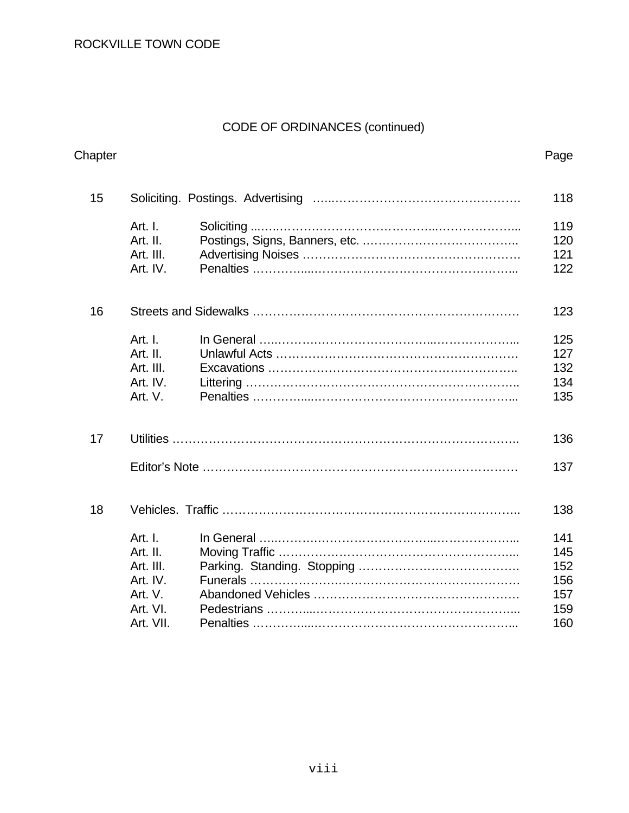## CODE OF ORDINANCES (continued)

| Chapter |           |  | Page |
|---------|-----------|--|------|
| 15      |           |  | 118  |
|         | Art. I.   |  | 119  |
|         | Art. II.  |  | 120  |
|         | Art. III. |  | 121  |
|         | Art. IV.  |  | 122  |
| 16      |           |  | 123  |
|         | Art. I.   |  | 125  |
|         | Art. II.  |  | 127  |
|         | Art. III. |  | 132  |
|         | Art. IV.  |  | 134  |
|         | Art. V.   |  | 135  |
| 17      |           |  | 136  |
|         |           |  | 137  |
| 18      |           |  | 138  |
|         | Art. I.   |  | 141  |
|         | Art. II.  |  | 145  |
|         | Art. III. |  | 152  |
|         | Art. IV.  |  | 156  |
|         | Art. V.   |  | 157  |
|         | Art. VI.  |  | 159  |
|         | Art. VII. |  | 160  |